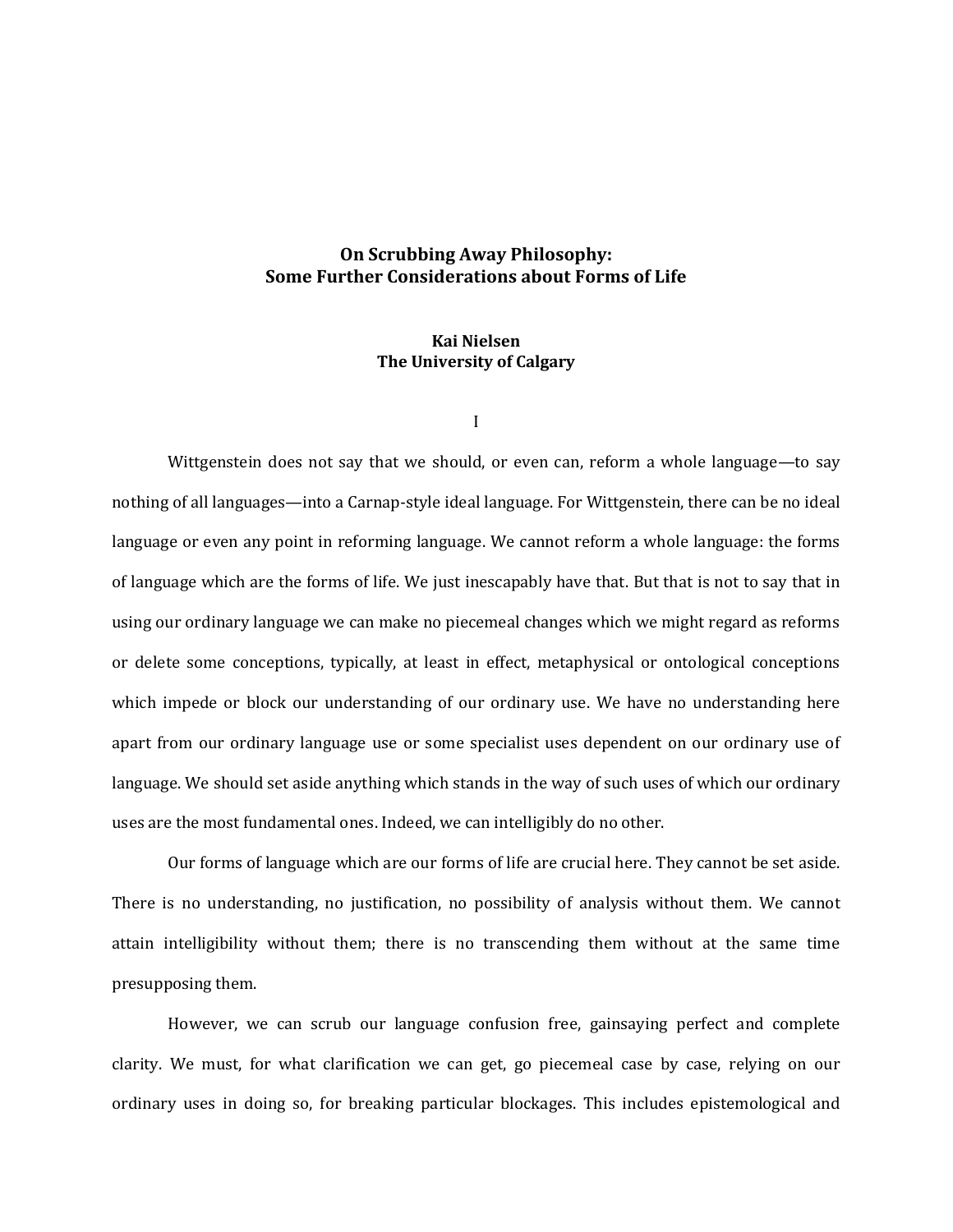## **On Scrubbing Away Philosophy: Some Further Considerations about Forms of Life**

## **Kai Nielsen The University of Calgary**

I

Wittgenstein does not say that we should, or even can, reform a whole language—to say nothing of all languages—into a Carnap-style ideal language. For Wittgenstein, there can be no ideal language or even any point in reforming language. We cannot reform a whole language: the forms of language which are the forms of life. We just inescapably have that. But that is not to say that in using our ordinary language we can make no piecemeal changes which we might regard as reforms or delete some conceptions, typically, at least in effect, metaphysical or ontological conceptions which impede or block our understanding of our ordinary use. We have no understanding here apart from our ordinary language use or some specialist uses dependent on our ordinary use of language. We should set aside anything which stands in the way of such uses of which our ordinary uses are the most fundamental ones. Indeed, we can intelligibly do no other.

Our forms of language which are our forms of life are crucial here. They cannot be set aside. There is no understanding, no justification, no possibility of analysis without them. We cannot attain intelligibility without them; there is no transcending them without at the same time presupposing them.

However, we can scrub our language confusion free, gainsaying perfect and complete clarity. We must, for what clarification we can get, go piecemeal case by case, relying on our ordinary uses in doing so, for breaking particular blockages. This includes epistemological and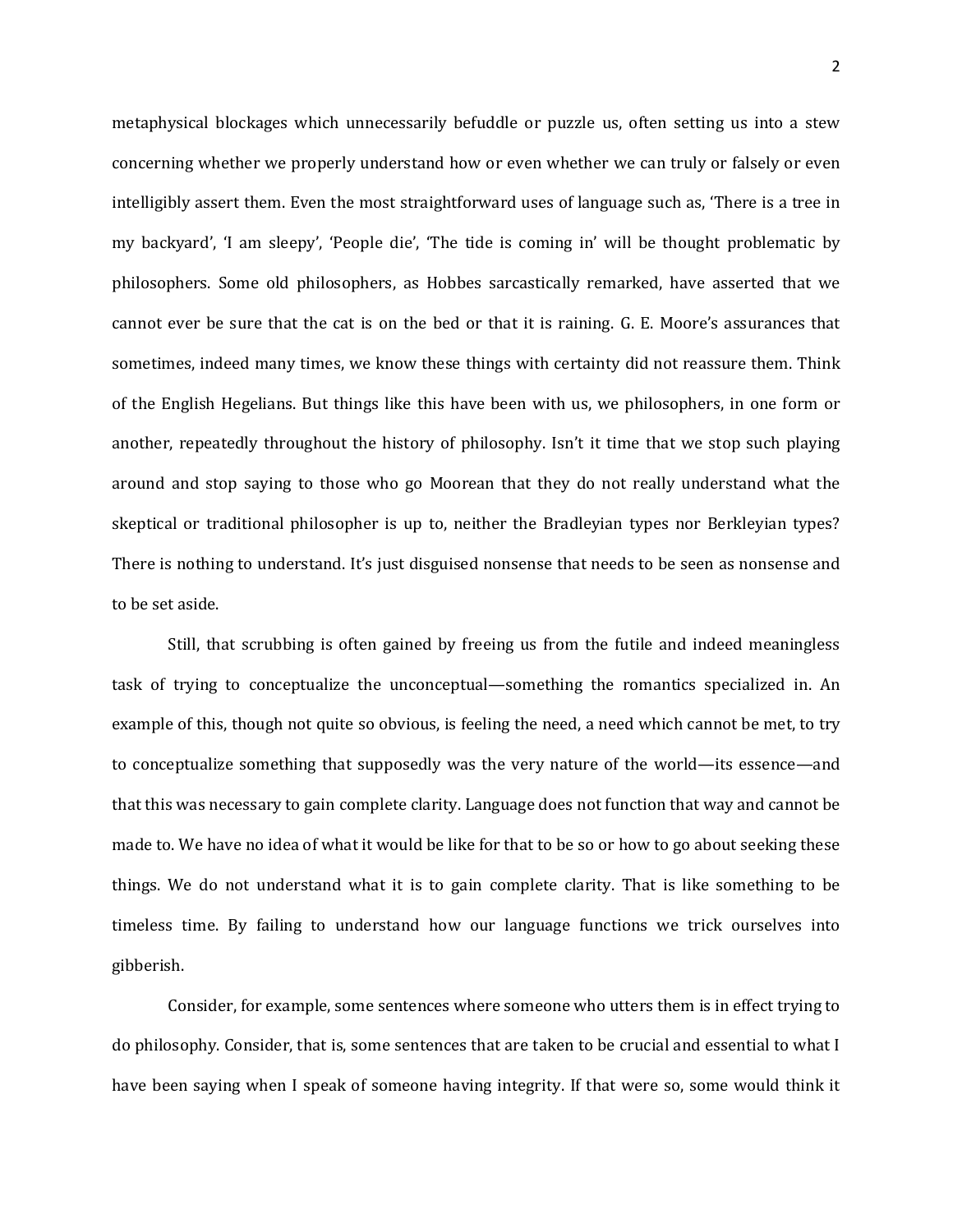metaphysical blockages which unnecessarily befuddle or puzzle us, often setting us into a stew concerning whether we properly understand how or even whether we can truly or falsely or even intelligibly assert them. Even the most straightforward uses of language such as, 'There is a tree in my backyard', 'I am sleepy', 'People die', 'The tide is coming in' will be thought problematic by philosophers. Some old philosophers, as Hobbes sarcastically remarked, have asserted that we cannot ever be sure that the cat is on the bed or that it is raining. G. E. Moore's assurances that sometimes, indeed many times, we know these things with certainty did not reassure them. Think of the English Hegelians. But things like this have been with us, we philosophers, in one form or another, repeatedly throughout the history of philosophy. Isn't it time that we stop such playing around and stop saying to those who go Moorean that they do not really understand what the skeptical or traditional philosopher is up to, neither the Bradleyian types nor Berkleyian types? There is nothing to understand. It's just disguised nonsense that needs to be seen as nonsense and to be set aside.

Still, that scrubbing is often gained by freeing us from the futile and indeed meaningless task of trying to conceptualize the unconceptual—something the romantics specialized in. An example of this, though not quite so obvious, is feeling the need, a need which cannot be met, to try to conceptualize something that supposedly was the very nature of the world—its essence—and that this was necessary to gain complete clarity. Language does not function that way and cannot be made to. We have no idea of what it would be like for that to be so or how to go about seeking these things. We do not understand what it is to gain complete clarity. That is like something to be timeless time. By failing to understand how our language functions we trick ourselves into gibberish.

Consider, for example, some sentences where someone who utters them is in effect trying to do philosophy. Consider, that is, some sentences that are taken to be crucial and essential to what I have been saying when I speak of someone having integrity. If that were so, some would think it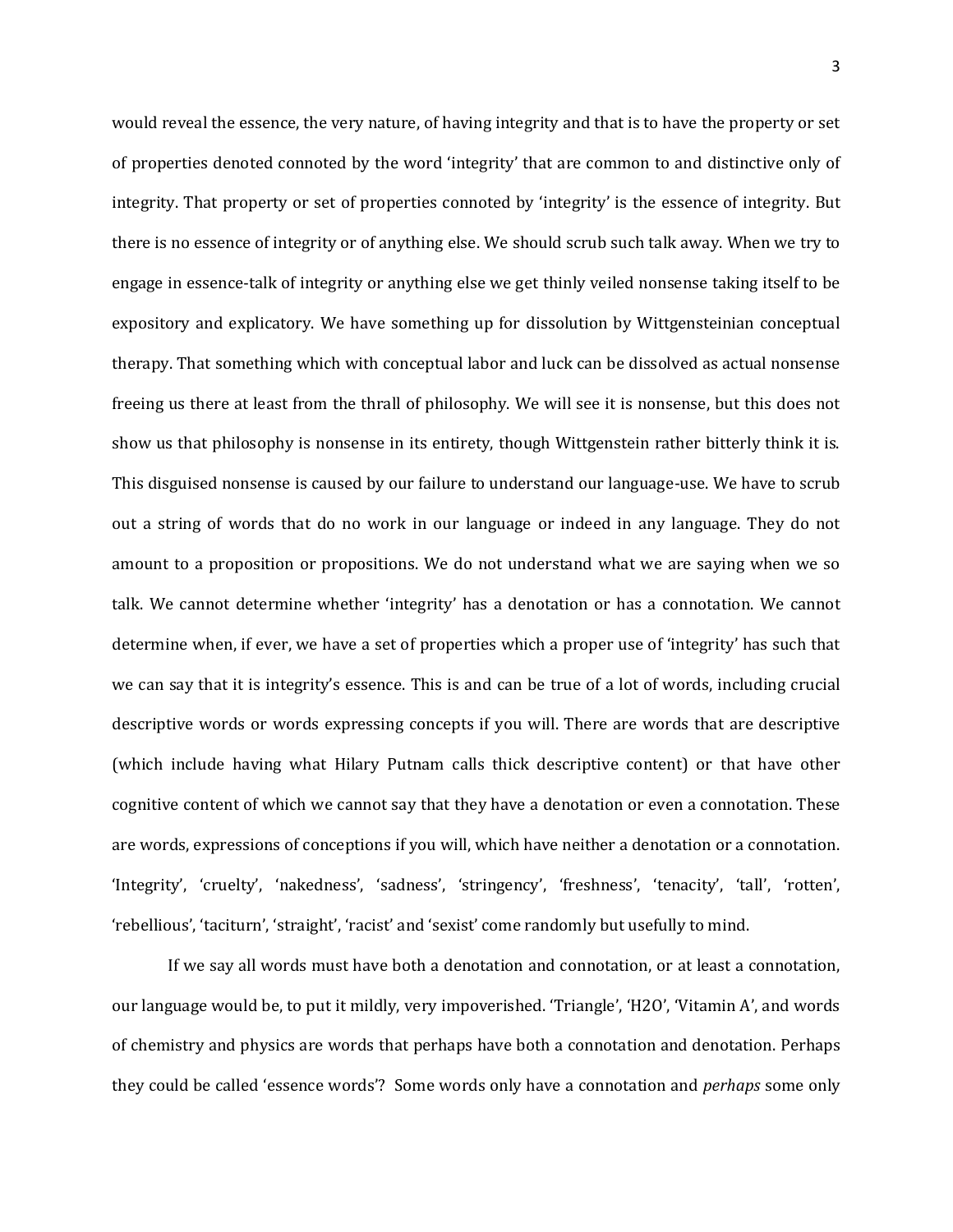would reveal the essence, the very nature, of having integrity and that is to have the property or set of properties denoted connoted by the word 'integrity' that are common to and distinctive only of integrity. That property or set of properties connoted by 'integrity' is the essence of integrity. But there is no essence of integrity or of anything else. We should scrub such talk away. When we try to engage in essence-talk of integrity or anything else we get thinly veiled nonsense taking itself to be expository and explicatory. We have something up for dissolution by Wittgensteinian conceptual therapy. That something which with conceptual labor and luck can be dissolved as actual nonsense freeing us there at least from the thrall of philosophy. We will see it is nonsense, but this does not show us that philosophy is nonsense in its entirety, though Wittgenstein rather bitterly think it is. This disguised nonsense is caused by our failure to understand our language-use. We have to scrub out a string of words that do no work in our language or indeed in any language. They do not amount to a proposition or propositions. We do not understand what we are saying when we so talk. We cannot determine whether 'integrity' has a denotation or has a connotation. We cannot determine when, if ever, we have a set of properties which a proper use of 'integrity' has such that we can say that it is integrity's essence. This is and can be true of a lot of words, including crucial descriptive words or words expressing concepts if you will. There are words that are descriptive (which include having what Hilary Putnam calls thick descriptive content) or that have other cognitive content of which we cannot say that they have a denotation or even a connotation. These are words, expressions of conceptions if you will, which have neither a denotation or a connotation. 'Integrity', 'cruelty', 'nakedness', 'sadness', 'stringency', 'freshness', 'tenacity', 'tall', 'rotten', 'rebellious', 'taciturn', 'straight', 'racist' and 'sexist' come randomly but usefully to mind.

If we say all words must have both a denotation and connotation, or at least a connotation, our language would be, to put it mildly, very impoverished. 'Triangle', 'H2O', 'Vitamin A', and words of chemistry and physics are words that perhaps have both a connotation and denotation. Perhaps they could be called 'essence words'? Some words only have a connotation and *perhaps* some only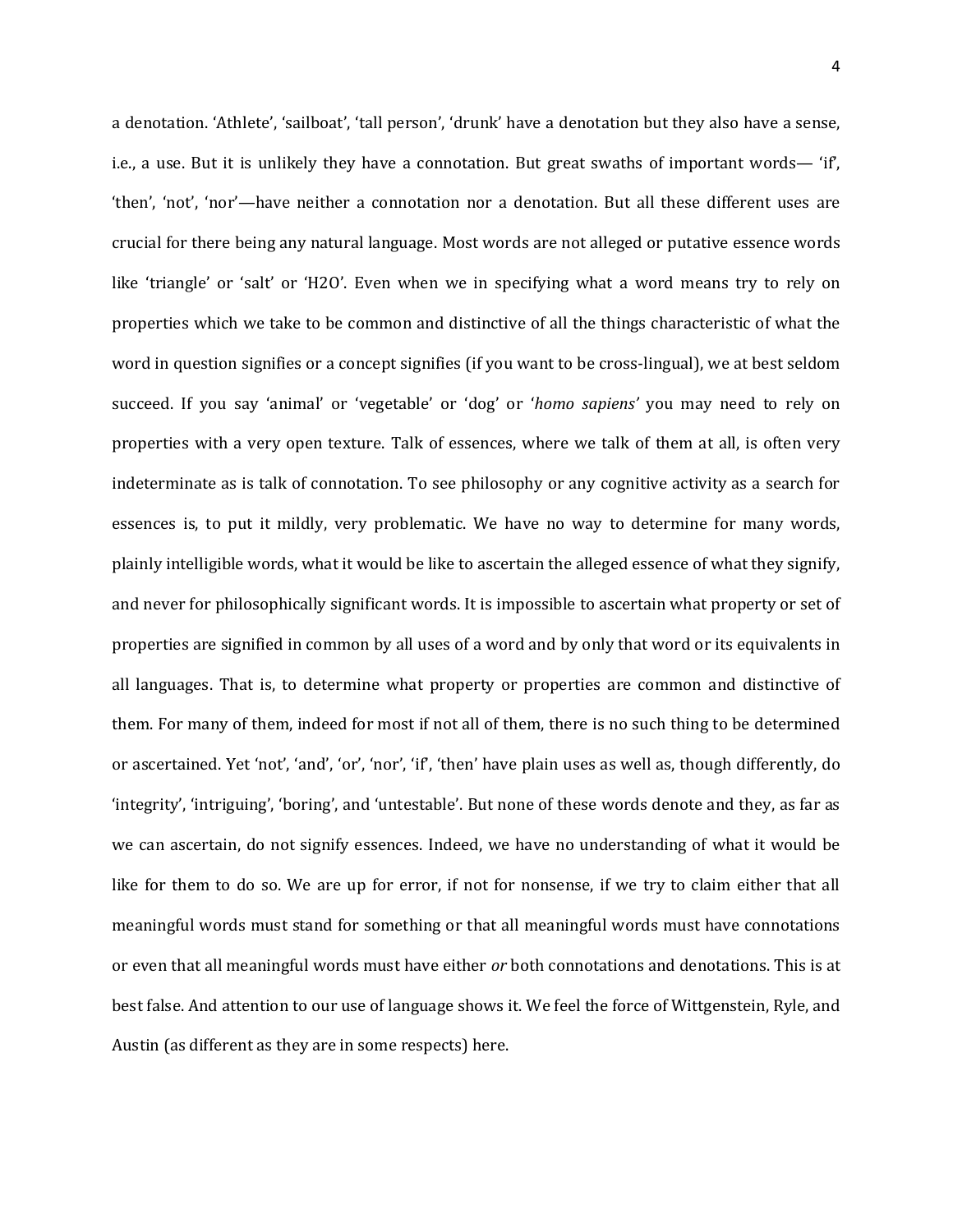a denotation. 'Athlete', 'sailboat', 'tall person', 'drunk' have a denotation but they also have a sense, i.e., a use. But it is unlikely they have a connotation. But great swaths of important words— 'if', 'then', 'not', 'nor'—have neither a connotation nor a denotation. But all these different uses are crucial for there being any natural language. Most words are not alleged or putative essence words like 'triangle' or 'salt' or 'H2O'. Even when we in specifying what a word means try to rely on properties which we take to be common and distinctive of all the things characteristic of what the word in question signifies or a concept signifies (if you want to be cross-lingual), we at best seldom succeed. If you say 'animal' or 'vegetable' or 'dog' or '*homo sapiens'* you may need to rely on properties with a very open texture. Talk of essences, where we talk of them at all, is often very indeterminate as is talk of connotation. To see philosophy or any cognitive activity as a search for essences is, to put it mildly, very problematic. We have no way to determine for many words, plainly intelligible words, what it would be like to ascertain the alleged essence of what they signify, and never for philosophically significant words. It is impossible to ascertain what property or set of properties are signified in common by all uses of a word and by only that word or its equivalents in all languages. That is, to determine what property or properties are common and distinctive of them. For many of them, indeed for most if not all of them, there is no such thing to be determined or ascertained. Yet 'not', 'and', 'or', 'nor', 'if', 'then' have plain uses as well as, though differently, do 'integrity', 'intriguing', 'boring', and 'untestable'. But none of these words denote and they, as far as we can ascertain, do not signify essences. Indeed, we have no understanding of what it would be like for them to do so. We are up for error, if not for nonsense, if we try to claim either that all meaningful words must stand for something or that all meaningful words must have connotations or even that all meaningful words must have either *or* both connotations and denotations. This is at best false. And attention to our use of language shows it. We feel the force of Wittgenstein, Ryle, and Austin (as different as they are in some respects) here.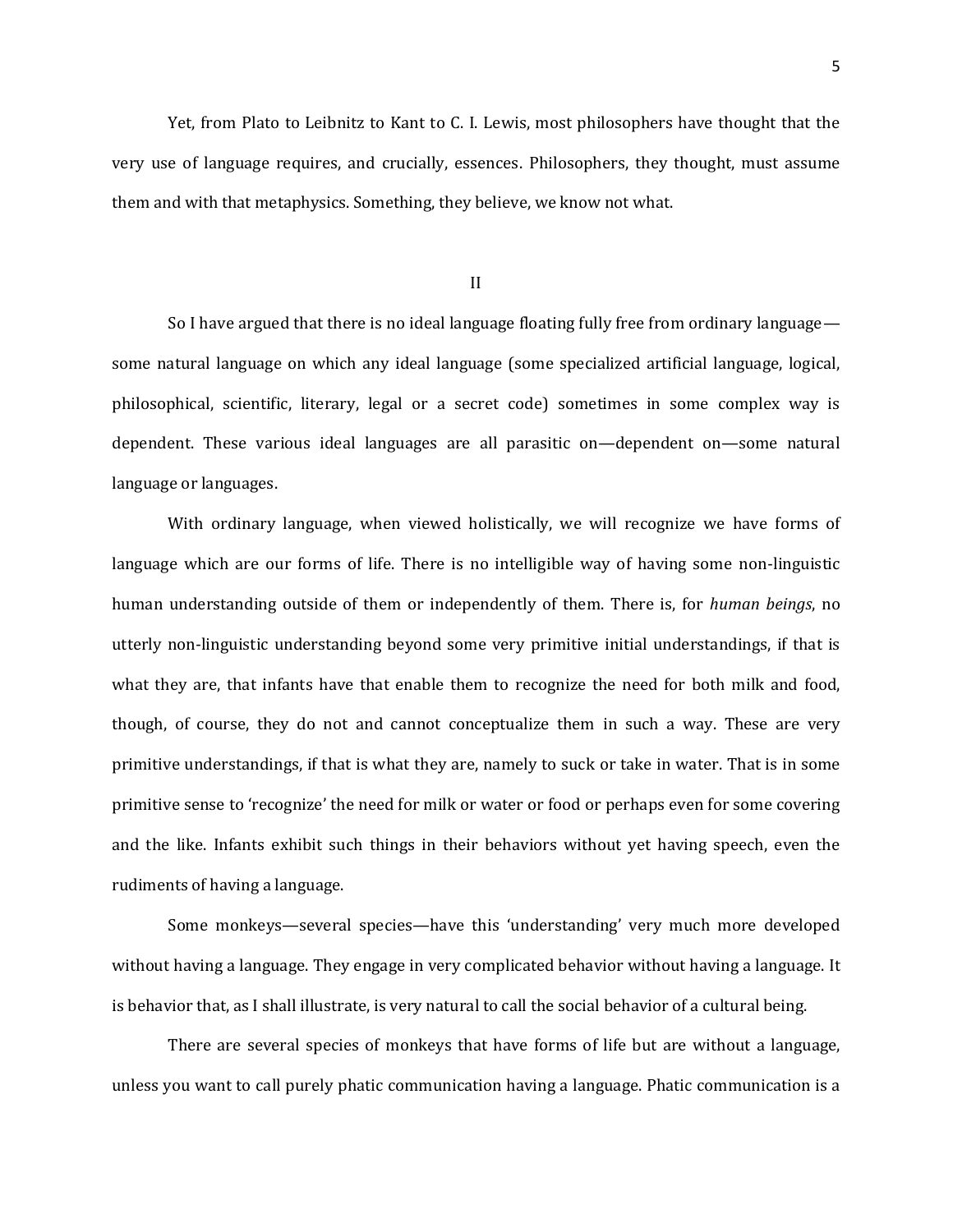Yet, from Plato to Leibnitz to Kant to C. I. Lewis, most philosophers have thought that the very use of language requires, and crucially, essences. Philosophers, they thought, must assume them and with that metaphysics. Something, they believe, we know not what.

II

So I have argued that there is no ideal language floating fully free from ordinary language some natural language on which any ideal language (some specialized artificial language, logical, philosophical, scientific, literary, legal or a secret code) sometimes in some complex way is dependent. These various ideal languages are all parasitic on—dependent on—some natural language or languages.

With ordinary language, when viewed holistically, we will recognize we have forms of language which are our forms of life. There is no intelligible way of having some non-linguistic human understanding outside of them or independently of them. There is, for *human beings*, no utterly non-linguistic understanding beyond some very primitive initial understandings, if that is what they are, that infants have that enable them to recognize the need for both milk and food, though, of course, they do not and cannot conceptualize them in such a way. These are very primitive understandings, if that is what they are, namely to suck or take in water. That is in some primitive sense to 'recognize' the need for milk or water or food or perhaps even for some covering and the like. Infants exhibit such things in their behaviors without yet having speech, even the rudiments of having a language.

Some monkeys—several species—have this 'understanding' very much more developed without having a language. They engage in very complicated behavior without having a language. It is behavior that, as I shall illustrate, is very natural to call the social behavior of a cultural being.

There are several species of monkeys that have forms of life but are without a language, unless you want to call purely phatic communication having a language. Phatic communication is a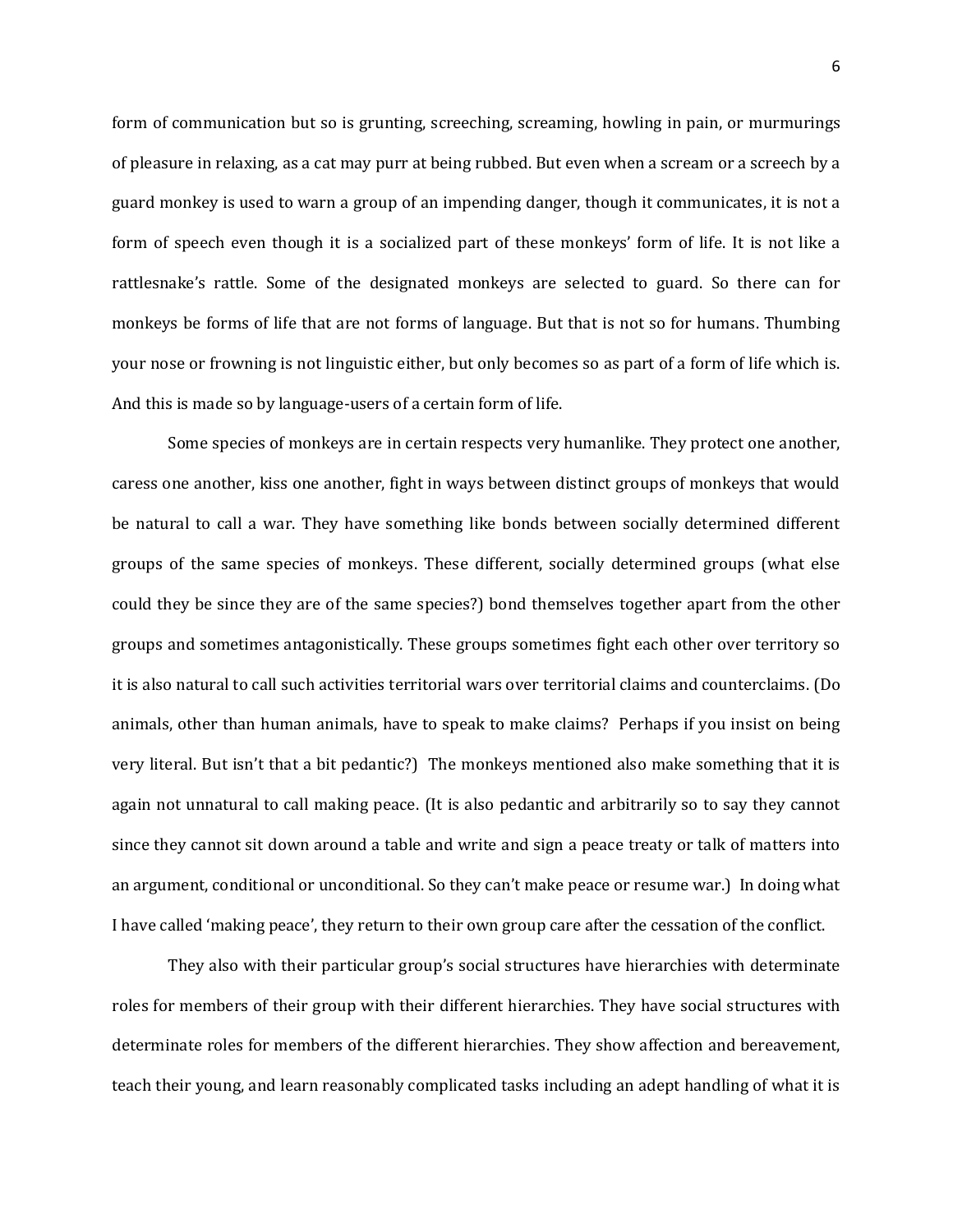form of communication but so is grunting, screeching, screaming, howling in pain, or murmurings of pleasure in relaxing, as a cat may purr at being rubbed. But even when a scream or a screech by a guard monkey is used to warn a group of an impending danger, though it communicates, it is not a form of speech even though it is a socialized part of these monkeys' form of life. It is not like a rattlesnake's rattle. Some of the designated monkeys are selected to guard. So there can for monkeys be forms of life that are not forms of language. But that is not so for humans. Thumbing your nose or frowning is not linguistic either, but only becomes so as part of a form of life which is. And this is made so by language-users of a certain form of life.

Some species of monkeys are in certain respects very humanlike. They protect one another, caress one another, kiss one another, fight in ways between distinct groups of monkeys that would be natural to call a war. They have something like bonds between socially determined different groups of the same species of monkeys. These different, socially determined groups (what else could they be since they are of the same species?) bond themselves together apart from the other groups and sometimes antagonistically. These groups sometimes fight each other over territory so it is also natural to call such activities territorial wars over territorial claims and counterclaims. (Do animals, other than human animals, have to speak to make claims? Perhaps if you insist on being very literal. But isn't that a bit pedantic?) The monkeys mentioned also make something that it is again not unnatural to call making peace. (It is also pedantic and arbitrarily so to say they cannot since they cannot sit down around a table and write and sign a peace treaty or talk of matters into an argument, conditional or unconditional. So they can't make peace or resume war.) In doing what I have called 'making peace', they return to their own group care after the cessation of the conflict.

They also with their particular group's social structures have hierarchies with determinate roles for members of their group with their different hierarchies. They have social structures with determinate roles for members of the different hierarchies. They show affection and bereavement, teach their young, and learn reasonably complicated tasks including an adept handling of what it is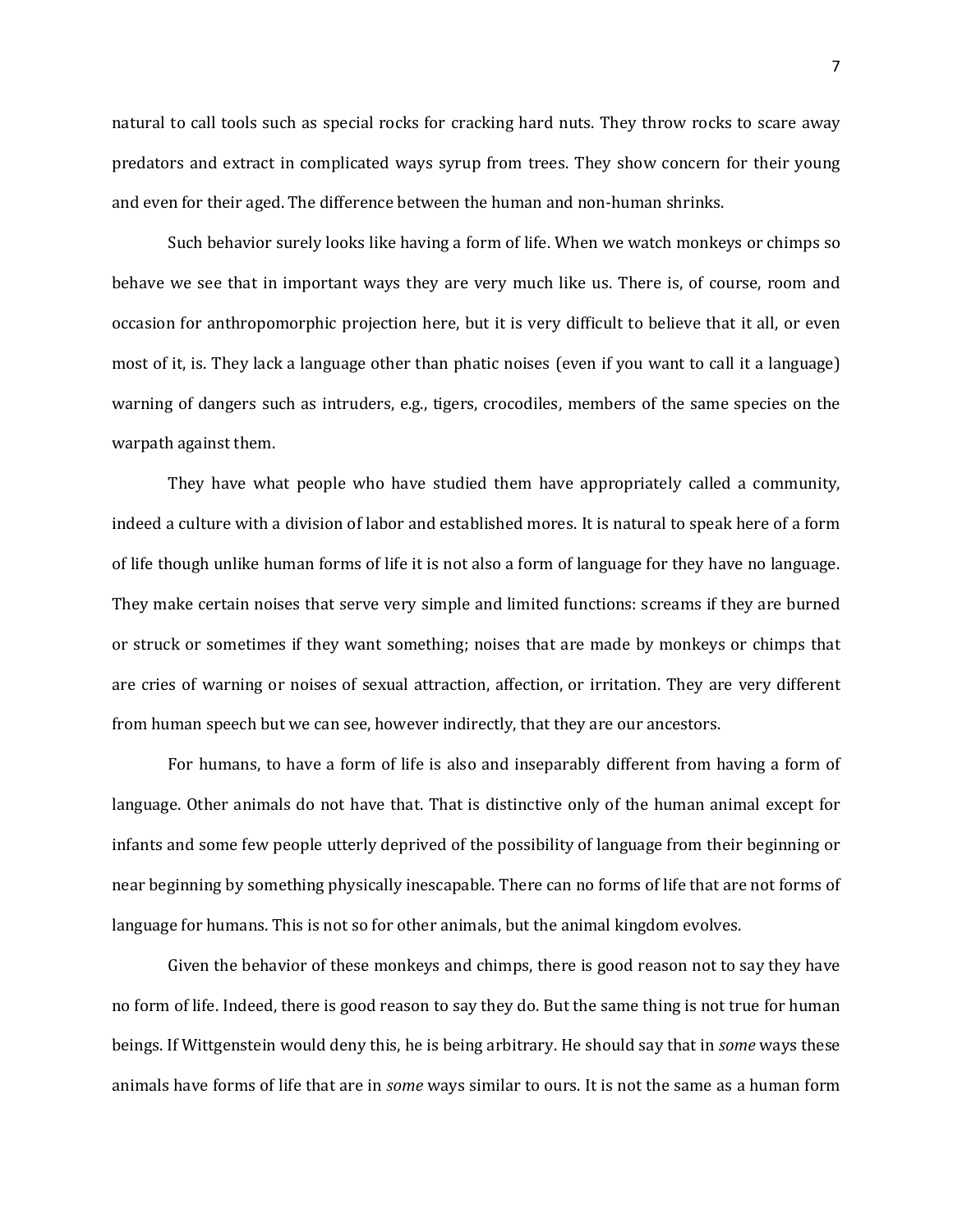natural to call tools such as special rocks for cracking hard nuts. They throw rocks to scare away predators and extract in complicated ways syrup from trees. They show concern for their young and even for their aged. The difference between the human and non-human shrinks.

Such behavior surely looks like having a form of life. When we watch monkeys or chimps so behave we see that in important ways they are very much like us. There is, of course, room and occasion for anthropomorphic projection here, but it is very difficult to believe that it all, or even most of it, is. They lack a language other than phatic noises (even if you want to call it a language) warning of dangers such as intruders, e.g., tigers, crocodiles, members of the same species on the warpath against them.

They have what people who have studied them have appropriately called a community, indeed a culture with a division of labor and established mores. It is natural to speak here of a form of life though unlike human forms of life it is not also a form of language for they have no language. They make certain noises that serve very simple and limited functions: screams if they are burned or struck or sometimes if they want something; noises that are made by monkeys or chimps that are cries of warning or noises of sexual attraction, affection, or irritation. They are very different from human speech but we can see, however indirectly, that they are our ancestors.

For humans, to have a form of life is also and inseparably different from having a form of language. Other animals do not have that. That is distinctive only of the human animal except for infants and some few people utterly deprived of the possibility of language from their beginning or near beginning by something physically inescapable. There can no forms of life that are not forms of language for humans. This is not so for other animals, but the animal kingdom evolves.

Given the behavior of these monkeys and chimps, there is good reason not to say they have no form of life. Indeed, there is good reason to say they do. But the same thing is not true for human beings. If Wittgenstein would deny this, he is being arbitrary. He should say that in *some* ways these animals have forms of life that are in *some* ways similar to ours. It is not the same as a human form